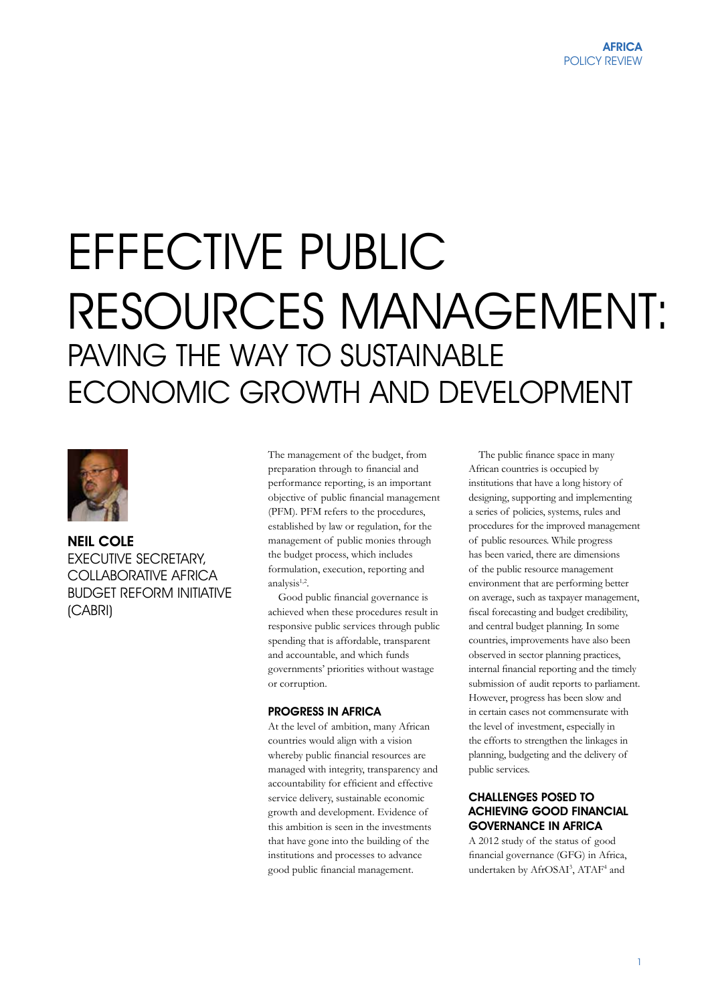# EFFECTIVE PUBLIC RESOURCES MANAGEMENT: PAVING THE WAY TO SUSTAINABLE ECONOMIC GROWTH AND DEVELOPMENT



# NEIL COLE **EXECUTIVE SECRETARY.** COLLABORATIVE AFRICA BUDGET REFORM INITIATIVE (CABRI)

The management of the budget, from preparation through to financial and performance reporting, is an important objective of public financial management (PFM). PFM refers to the procedures, established by law or regulation, for the management of public monies through the budget process, which includes formulation, execution, reporting and analysis1,2.

Good public financial governance is achieved when these procedures result in responsive public services through public spending that is affordable, transparent and accountable, and which funds governments' priorities without wastage or corruption.

#### PROGRESS IN AFRICA

At the level of ambition, many African countries would align with a vision whereby public financial resources are managed with integrity, transparency and accountability for efficient and effective service delivery, sustainable economic growth and development. Evidence of this ambition is seen in the investments that have gone into the building of the institutions and processes to advance good public financial management.

The public finance space in many African countries is occupied by institutions that have a long history of designing, supporting and implementing a series of policies, systems, rules and procedures for the improved management of public resources. While progress has been varied, there are dimensions of the public resource management environment that are performing better on average, such as taxpayer management, fiscal forecasting and budget credibility, and central budget planning. In some countries, improvements have also been observed in sector planning practices, internal financial reporting and the timely submission of audit reports to parliament. However, progress has been slow and in certain cases not commensurate with the level of investment, especially in the efforts to strengthen the linkages in planning, budgeting and the delivery of public services.

## CHALLENGES POSED TO ACHIEVING GOOD FINANCIAL GOVERNANCE IN AFRICA

A 2012 study of the status of good financial governance (GFG) in Africa, undertaken by AfrOSAI<sup>3</sup>, ATAF<sup>4</sup> and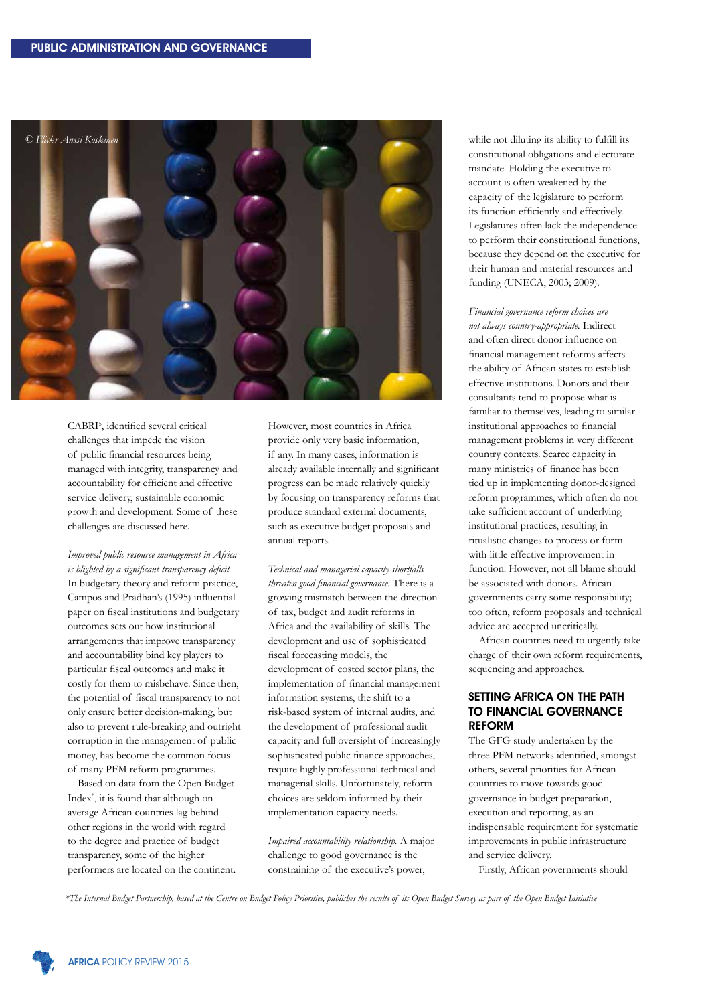

CABRI<sup>5</sup> , identified several critical challenges that impede the vision of public financial resources being managed with integrity, transparency and accountability for efficient and effective service delivery, sustainable economic growth and development. Some of these challenges are discussed here.

*Improved public resource management in Africa is blighted by a significant transparency deficit.*  In budgetary theory and reform practice, Campos and Pradhan's (1995) influential paper on fiscal institutions and budgetary outcomes sets out how institutional arrangements that improve transparency and accountability bind key players to particular fiscal outcomes and make it costly for them to misbehave. Since then, the potential of fiscal transparency to not only ensure better decision-making, but also to prevent rule-breaking and outright corruption in the management of public money, has become the common focus of many PFM reform programmes.

Based on data from the Open Budget Index\* , it is found that although on average African countries lag behind other regions in the world with regard to the degree and practice of budget transparency, some of the higher performers are located on the continent. However, most countries in Africa provide only very basic information, if any. In many cases, information is already available internally and significant progress can be made relatively quickly by focusing on transparency reforms that produce standard external documents, such as executive budget proposals and annual reports.

*Technical and managerial capacity shortfalls threaten good financial governance.* There is a growing mismatch between the direction of tax, budget and audit reforms in Africa and the availability of skills. The development and use of sophisticated fiscal forecasting models, the development of costed sector plans, the implementation of financial management information systems, the shift to a risk-based system of internal audits, and the development of professional audit capacity and full oversight of increasingly sophisticated public finance approaches, require highly professional technical and managerial skills. Unfortunately, reform choices are seldom informed by their implementation capacity needs.

*Impaired accountability relationship.* A major challenge to good governance is the constraining of the executive's power,

while not diluting its ability to fulfill its constitutional obligations and electorate mandate. Holding the executive to account is often weakened by the capacity of the legislature to perform its function efficiently and effectively. Legislatures often lack the independence to perform their constitutional functions, because they depend on the executive for their human and material resources and funding (UNECA, 2003; 2009).

*Financial governance reform choices are not always country-appropriate.* Indirect and often direct donor influence on financial management reforms affects the ability of African states to establish effective institutions. Donors and their consultants tend to propose what is familiar to themselves, leading to similar institutional approaches to financial management problems in very different country contexts. Scarce capacity in many ministries of finance has been tied up in implementing donor-designed reform programmes, which often do not take sufficient account of underlying institutional practices, resulting in ritualistic changes to process or form with little effective improvement in function. However, not all blame should be associated with donors. African governments carry some responsibility; too often, reform proposals and technical advice are accepted uncritically.

African countries need to urgently take charge of their own reform requirements, sequencing and approaches.

## SETTING AFRICA ON THE PATH TO FINANCIAL GOVERNANCE REFORM

The GFG study undertaken by the three PFM networks identified, amongst others, several priorities for African countries to move towards good governance in budget preparation, execution and reporting, as an indispensable requirement for systematic improvements in public infrastructure and service delivery.

Firstly, African governments should

*\*The Internal Budget Partnership, based at the Centre on Budget Policy Priorities, publishes the results of its Open Budget Survey as part of the Open Budget Initiative*